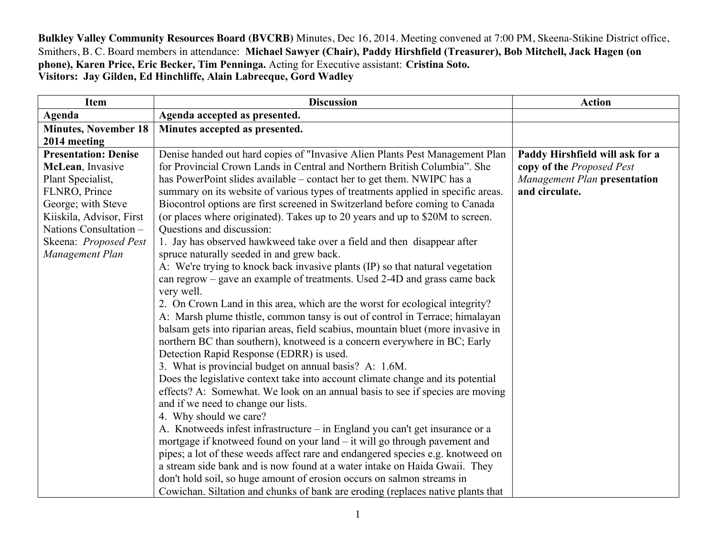**Bulkley Valley Community Resources Board (BVCRB)** Minutes, Dec 16, 2014. Meeting convened at 7:00 PM, Skeena-Stikine District office, Smithers, B. C. Board members in attendance: **Michael Sawyer (Chair), Paddy Hirshfield (Treasurer), Bob Mitchell, Jack Hagen (on phone), Karen Price, Eric Becker, Tim Penninga.** Acting for Executive assistant: **Cristina Soto. Visitors: Jay Gilden, Ed Hinchliffe, Alain Labrecque, Gord Wadley**

| <b>Item</b>                 | <b>Discussion</b>                                                                | <b>Action</b>                   |
|-----------------------------|----------------------------------------------------------------------------------|---------------------------------|
| Agenda                      | Agenda accepted as presented.                                                    |                                 |
| <b>Minutes, November 18</b> | Minutes accepted as presented.                                                   |                                 |
| 2014 meeting                |                                                                                  |                                 |
| <b>Presentation: Denise</b> | Denise handed out hard copies of "Invasive Alien Plants Pest Management Plan     | Paddy Hirshfield will ask for a |
| McLean, Invasive            | for Provincial Crown Lands in Central and Northern British Columbia". She        | copy of the Proposed Pest       |
| Plant Specialist,           | has PowerPoint slides available – contact her to get them. NWIPC has a           | Management Plan presentation    |
| FLNRO, Prince               | summary on its website of various types of treatments applied in specific areas. | and circulate.                  |
| George; with Steve          | Biocontrol options are first screened in Switzerland before coming to Canada     |                                 |
| Kiiskila, Advisor, First    | (or places where originated). Takes up to 20 years and up to \$20M to screen.    |                                 |
| Nations Consultation -      | Questions and discussion:                                                        |                                 |
| Skeena: Proposed Pest       | 1. Jay has observed hawkweed take over a field and then disappear after          |                                 |
| Management Plan             | spruce naturally seeded in and grew back.                                        |                                 |
|                             | A: We're trying to knock back invasive plants (IP) so that natural vegetation    |                                 |
|                             | can regrow – gave an example of treatments. Used 2-4D and grass came back        |                                 |
|                             | very well.                                                                       |                                 |
|                             | 2. On Crown Land in this area, which are the worst for ecological integrity?     |                                 |
|                             | A: Marsh plume thistle, common tansy is out of control in Terrace; himalayan     |                                 |
|                             | balsam gets into riparian areas, field scabius, mountain bluet (more invasive in |                                 |
|                             | northern BC than southern), knotweed is a concern everywhere in BC; Early        |                                 |
|                             | Detection Rapid Response (EDRR) is used.                                         |                                 |
|                             | 3. What is provincial budget on annual basis? A: 1.6M.                           |                                 |
|                             | Does the legislative context take into account climate change and its potential  |                                 |
|                             | effects? A: Somewhat. We look on an annual basis to see if species are moving    |                                 |
|                             | and if we need to change our lists.                                              |                                 |
|                             | 4. Why should we care?                                                           |                                 |
|                             | A. Knotweeds infest infrastructure – in England you can't get insurance or a     |                                 |
|                             | mortgage if knotweed found on your land – it will go through payement and        |                                 |
|                             | pipes; a lot of these weeds affect rare and endangered species e.g. knotweed on  |                                 |
|                             | a stream side bank and is now found at a water intake on Haida Gwaii. They       |                                 |
|                             | don't hold soil, so huge amount of erosion occurs on salmon streams in           |                                 |
|                             | Cowichan. Siltation and chunks of bank are eroding (replaces native plants that  |                                 |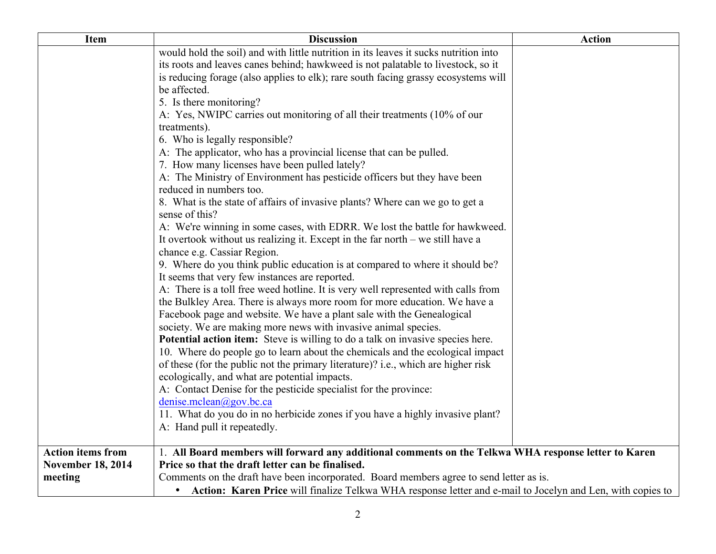| Item                     | <b>Discussion</b>                                                                                            | <b>Action</b> |
|--------------------------|--------------------------------------------------------------------------------------------------------------|---------------|
|                          | would hold the soil) and with little nutrition in its leaves it sucks nutrition into                         |               |
|                          | its roots and leaves canes behind; hawkweed is not palatable to livestock, so it                             |               |
|                          | is reducing forage (also applies to elk); rare south facing grassy ecosystems will                           |               |
|                          | be affected.                                                                                                 |               |
|                          | 5. Is there monitoring?                                                                                      |               |
|                          | A: Yes, NWIPC carries out monitoring of all their treatments (10% of our                                     |               |
|                          | treatments).                                                                                                 |               |
|                          | 6. Who is legally responsible?                                                                               |               |
|                          | A: The applicator, who has a provincial license that can be pulled.                                          |               |
|                          | 7. How many licenses have been pulled lately?                                                                |               |
|                          | A: The Ministry of Environment has pesticide officers but they have been                                     |               |
|                          | reduced in numbers too.                                                                                      |               |
|                          | 8. What is the state of affairs of invasive plants? Where can we go to get a<br>sense of this?               |               |
|                          | A: We're winning in some cases, with EDRR. We lost the battle for hawkweed.                                  |               |
|                          | It overtook without us realizing it. Except in the far north $-$ we still have a                             |               |
|                          | chance e.g. Cassiar Region.                                                                                  |               |
|                          | 9. Where do you think public education is at compared to where it should be?                                 |               |
|                          | It seems that very few instances are reported.                                                               |               |
|                          | A: There is a toll free weed hotline. It is very well represented with calls from                            |               |
|                          | the Bulkley Area. There is always more room for more education. We have a                                    |               |
|                          | Facebook page and website. We have a plant sale with the Genealogical                                        |               |
|                          | society. We are making more news with invasive animal species.                                               |               |
|                          | <b>Potential action item:</b> Steve is willing to do a talk on invasive species here.                        |               |
|                          | 10. Where do people go to learn about the chemicals and the ecological impact                                |               |
|                          | of these (for the public not the primary literature)? i.e., which are higher risk                            |               |
|                          | ecologically, and what are potential impacts.                                                                |               |
|                          | A: Contact Denise for the pesticide specialist for the province:                                             |               |
|                          | denise.mclean@gov.bc.ca                                                                                      |               |
|                          | 11. What do you do in no herbicide zones if you have a highly invasive plant?                                |               |
|                          | A: Hand pull it repeatedly.                                                                                  |               |
|                          |                                                                                                              |               |
| <b>Action items from</b> | 1. All Board members will forward any additional comments on the Telkwa WHA response letter to Karen         |               |
| <b>November 18, 2014</b> | Price so that the draft letter can be finalised.                                                             |               |
| meeting                  | Comments on the draft have been incorporated. Board members agree to send letter as is.                      |               |
|                          | • Action: Karen Price will finalize Telkwa WHA response letter and e-mail to Jocelyn and Len, with copies to |               |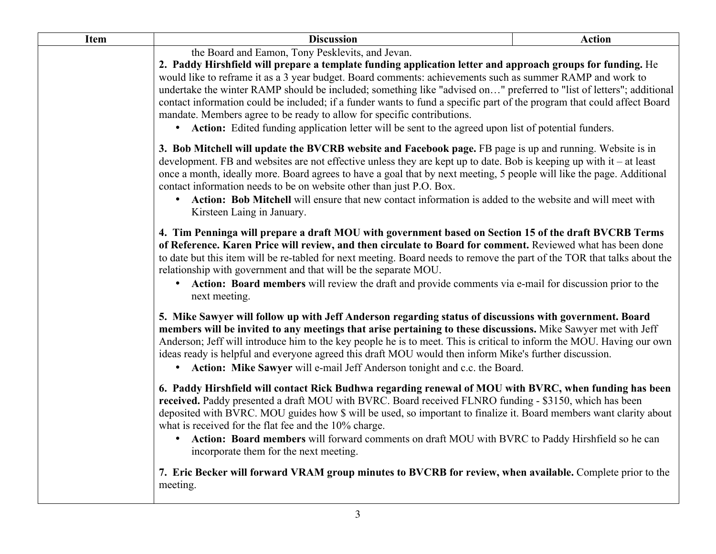| <b>Item</b> | <b>Discussion</b>                                                                                                                                                                                                                                                                                                                                                                                                                                                                                                                                                                                                                                                                                                                                                                                                                                                                                                                                                                                                                                                                                                     | <b>Action</b> |  |
|-------------|-----------------------------------------------------------------------------------------------------------------------------------------------------------------------------------------------------------------------------------------------------------------------------------------------------------------------------------------------------------------------------------------------------------------------------------------------------------------------------------------------------------------------------------------------------------------------------------------------------------------------------------------------------------------------------------------------------------------------------------------------------------------------------------------------------------------------------------------------------------------------------------------------------------------------------------------------------------------------------------------------------------------------------------------------------------------------------------------------------------------------|---------------|--|
|             | the Board and Eamon, Tony Pesklevits, and Jevan.<br>2. Paddy Hirshfield will prepare a template funding application letter and approach groups for funding. He<br>would like to reframe it as a 3 year budget. Board comments: achievements such as summer RAMP and work to<br>undertake the winter RAMP should be included; something like "advised on" preferred to "list of letters"; additional<br>contact information could be included; if a funder wants to fund a specific part of the program that could affect Board<br>mandate. Members agree to be ready to allow for specific contributions.<br>• Action: Edited funding application letter will be sent to the agreed upon list of potential funders.                                                                                                                                                                                                                                                                                                                                                                                                   |               |  |
|             | 3. Bob Mitchell will update the BVCRB website and Facebook page. FB page is up and running. Website is in<br>development. FB and websites are not effective unless they are kept up to date. Bob is keeping up with it – at least<br>once a month, ideally more. Board agrees to have a goal that by next meeting, 5 people will like the page. Additional<br>contact information needs to be on website other than just P.O. Box.<br>Action: Bob Mitchell will ensure that new contact information is added to the website and will meet with<br>Kirsteen Laing in January.                                                                                                                                                                                                                                                                                                                                                                                                                                                                                                                                          |               |  |
|             | 4. Tim Penninga will prepare a draft MOU with government based on Section 15 of the draft BVCRB Terms<br>of Reference. Karen Price will review, and then circulate to Board for comment. Reviewed what has been done<br>to date but this item will be re-tabled for next meeting. Board needs to remove the part of the TOR that talks about the<br>relationship with government and that will be the separate MOU.<br>Action: Board members will review the draft and provide comments via e-mail for discussion prior to the<br>$\bullet$<br>next meeting.<br>5. Mike Sawyer will follow up with Jeff Anderson regarding status of discussions with government. Board<br>members will be invited to any meetings that arise pertaining to these discussions. Mike Sawyer met with Jeff<br>Anderson; Jeff will introduce him to the key people he is to meet. This is critical to inform the MOU. Having our own<br>ideas ready is helpful and everyone agreed this draft MOU would then inform Mike's further discussion.<br>Action: Mike Sawyer will e-mail Jeff Anderson tonight and c.c. the Board.<br>$\bullet$ |               |  |
|             |                                                                                                                                                                                                                                                                                                                                                                                                                                                                                                                                                                                                                                                                                                                                                                                                                                                                                                                                                                                                                                                                                                                       |               |  |
|             | 6. Paddy Hirshfield will contact Rick Budhwa regarding renewal of MOU with BVRC, when funding has been<br>received. Paddy presented a draft MOU with BVRC. Board received FLNRO funding - \$3150, which has been<br>deposited with BVRC. MOU guides how \$ will be used, so important to finalize it. Board members want clarity about<br>what is received for the flat fee and the 10% charge.<br>Action: Board members will forward comments on draft MOU with BVRC to Paddy Hirshfield so he can<br>$\bullet$<br>incorporate them for the next meeting.                                                                                                                                                                                                                                                                                                                                                                                                                                                                                                                                                            |               |  |
|             | 7. Eric Becker will forward VRAM group minutes to BVCRB for review, when available. Complete prior to the<br>meeting.                                                                                                                                                                                                                                                                                                                                                                                                                                                                                                                                                                                                                                                                                                                                                                                                                                                                                                                                                                                                 |               |  |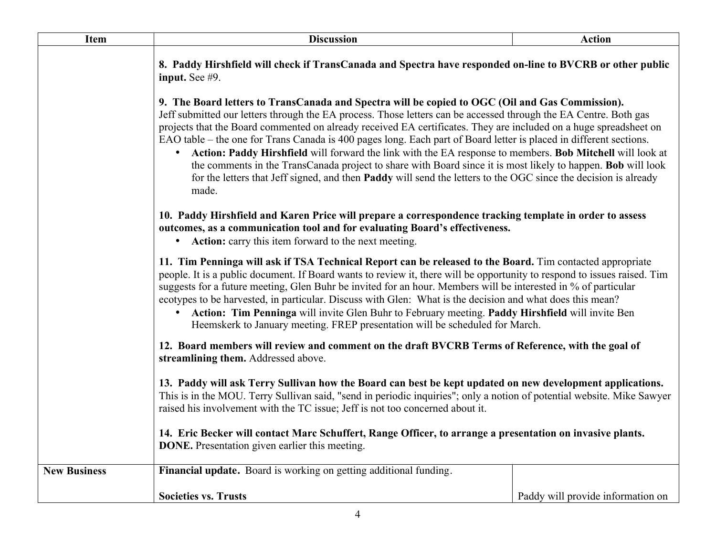| <b>Item</b>         | <b>Discussion</b>                                                                                                                                                                                                                                                                                                                                                                                                                                                                                                                                                                                                                                                                                                                                                                                                                                                                                                                                                                                                                                                                                                                                                                                                                                                                                                                                                                                                                                                                                                                                                   | <b>Action</b>                                                                                                                                                                                                                                                                                                                                                                                                                                                                                                                                                                                                                                                                                                                                                                                                                |  |  |
|---------------------|---------------------------------------------------------------------------------------------------------------------------------------------------------------------------------------------------------------------------------------------------------------------------------------------------------------------------------------------------------------------------------------------------------------------------------------------------------------------------------------------------------------------------------------------------------------------------------------------------------------------------------------------------------------------------------------------------------------------------------------------------------------------------------------------------------------------------------------------------------------------------------------------------------------------------------------------------------------------------------------------------------------------------------------------------------------------------------------------------------------------------------------------------------------------------------------------------------------------------------------------------------------------------------------------------------------------------------------------------------------------------------------------------------------------------------------------------------------------------------------------------------------------------------------------------------------------|------------------------------------------------------------------------------------------------------------------------------------------------------------------------------------------------------------------------------------------------------------------------------------------------------------------------------------------------------------------------------------------------------------------------------------------------------------------------------------------------------------------------------------------------------------------------------------------------------------------------------------------------------------------------------------------------------------------------------------------------------------------------------------------------------------------------------|--|--|
|                     | 8. Paddy Hirshfield will check if TransCanada and Spectra have responded on-line to BVCRB or other public<br>input. See $#9$ .                                                                                                                                                                                                                                                                                                                                                                                                                                                                                                                                                                                                                                                                                                                                                                                                                                                                                                                                                                                                                                                                                                                                                                                                                                                                                                                                                                                                                                      |                                                                                                                                                                                                                                                                                                                                                                                                                                                                                                                                                                                                                                                                                                                                                                                                                              |  |  |
|                     | made.                                                                                                                                                                                                                                                                                                                                                                                                                                                                                                                                                                                                                                                                                                                                                                                                                                                                                                                                                                                                                                                                                                                                                                                                                                                                                                                                                                                                                                                                                                                                                               | 9. The Board letters to TransCanada and Spectra will be copied to OGC (Oil and Gas Commission).<br>Jeff submitted our letters through the EA process. Those letters can be accessed through the EA Centre. Both gas<br>projects that the Board commented on already received EA certificates. They are included on a huge spreadsheet on<br>EAO table – the one for Trans Canada is 400 pages long. Each part of Board letter is placed in different sections.<br>Action: Paddy Hirshfield will forward the link with the EA response to members. Bob Mitchell will look at<br>the comments in the TransCanada project to share with Board since it is most likely to happen. <b>Bob</b> will look<br>for the letters that Jeff signed, and then <b>Paddy</b> will send the letters to the OGC since the decision is already |  |  |
|                     | 10. Paddy Hirshfield and Karen Price will prepare a correspondence tracking template in order to assess<br>outcomes, as a communication tool and for evaluating Board's effectiveness.<br>• Action: carry this item forward to the next meeting.<br>11. Tim Penninga will ask if TSA Technical Report can be released to the Board. Tim contacted appropriate<br>people. It is a public document. If Board wants to review it, there will be opportunity to respond to issues raised. Tim<br>suggests for a future meeting, Glen Buhr be invited for an hour. Members will be interested in % of particular<br>ecotypes to be harvested, in particular. Discuss with Glen: What is the decision and what does this mean?<br>Action: Tim Penninga will invite Glen Buhr to February meeting. Paddy Hirshfield will invite Ben<br>$\bullet$<br>Heemskerk to January meeting. FREP presentation will be scheduled for March.<br>12. Board members will review and comment on the draft BVCRB Terms of Reference, with the goal of<br>streamlining them. Addressed above.<br>13. Paddy will ask Terry Sullivan how the Board can best be kept updated on new development applications.<br>This is in the MOU. Terry Sullivan said, "send in periodic inquiries"; only a notion of potential website. Mike Sawyer<br>raised his involvement with the TC issue; Jeff is not too concerned about it.<br>14. Eric Becker will contact Marc Schuffert, Range Officer, to arrange a presentation on invasive plants.<br><b>DONE.</b> Presentation given earlier this meeting. |                                                                                                                                                                                                                                                                                                                                                                                                                                                                                                                                                                                                                                                                                                                                                                                                                              |  |  |
|                     |                                                                                                                                                                                                                                                                                                                                                                                                                                                                                                                                                                                                                                                                                                                                                                                                                                                                                                                                                                                                                                                                                                                                                                                                                                                                                                                                                                                                                                                                                                                                                                     |                                                                                                                                                                                                                                                                                                                                                                                                                                                                                                                                                                                                                                                                                                                                                                                                                              |  |  |
|                     |                                                                                                                                                                                                                                                                                                                                                                                                                                                                                                                                                                                                                                                                                                                                                                                                                                                                                                                                                                                                                                                                                                                                                                                                                                                                                                                                                                                                                                                                                                                                                                     |                                                                                                                                                                                                                                                                                                                                                                                                                                                                                                                                                                                                                                                                                                                                                                                                                              |  |  |
|                     |                                                                                                                                                                                                                                                                                                                                                                                                                                                                                                                                                                                                                                                                                                                                                                                                                                                                                                                                                                                                                                                                                                                                                                                                                                                                                                                                                                                                                                                                                                                                                                     |                                                                                                                                                                                                                                                                                                                                                                                                                                                                                                                                                                                                                                                                                                                                                                                                                              |  |  |
|                     |                                                                                                                                                                                                                                                                                                                                                                                                                                                                                                                                                                                                                                                                                                                                                                                                                                                                                                                                                                                                                                                                                                                                                                                                                                                                                                                                                                                                                                                                                                                                                                     |                                                                                                                                                                                                                                                                                                                                                                                                                                                                                                                                                                                                                                                                                                                                                                                                                              |  |  |
| <b>New Business</b> | Financial update. Board is working on getting additional funding.                                                                                                                                                                                                                                                                                                                                                                                                                                                                                                                                                                                                                                                                                                                                                                                                                                                                                                                                                                                                                                                                                                                                                                                                                                                                                                                                                                                                                                                                                                   |                                                                                                                                                                                                                                                                                                                                                                                                                                                                                                                                                                                                                                                                                                                                                                                                                              |  |  |
|                     | <b>Societies vs. Trusts</b>                                                                                                                                                                                                                                                                                                                                                                                                                                                                                                                                                                                                                                                                                                                                                                                                                                                                                                                                                                                                                                                                                                                                                                                                                                                                                                                                                                                                                                                                                                                                         | Paddy will provide information on                                                                                                                                                                                                                                                                                                                                                                                                                                                                                                                                                                                                                                                                                                                                                                                            |  |  |